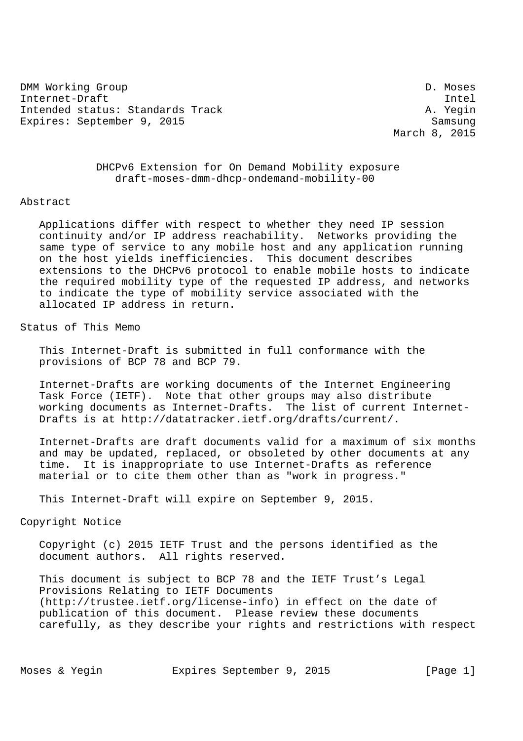DMM Working Group D. Moses Internet-Draft Intel Intended status: Standards Track A. Yegin Expires: September 9, 2015 Samsung

March 8, 2015

 DHCPv6 Extension for On Demand Mobility exposure draft-moses-dmm-dhcp-ondemand-mobility-00

## Abstract

 Applications differ with respect to whether they need IP session continuity and/or IP address reachability. Networks providing the same type of service to any mobile host and any application running on the host yields inefficiencies. This document describes extensions to the DHCPv6 protocol to enable mobile hosts to indicate the required mobility type of the requested IP address, and networks to indicate the type of mobility service associated with the allocated IP address in return.

Status of This Memo

 This Internet-Draft is submitted in full conformance with the provisions of BCP 78 and BCP 79.

 Internet-Drafts are working documents of the Internet Engineering Task Force (IETF). Note that other groups may also distribute working documents as Internet-Drafts. The list of current Internet- Drafts is at http://datatracker.ietf.org/drafts/current/.

 Internet-Drafts are draft documents valid for a maximum of six months and may be updated, replaced, or obsoleted by other documents at any time. It is inappropriate to use Internet-Drafts as reference material or to cite them other than as "work in progress."

This Internet-Draft will expire on September 9, 2015.

Copyright Notice

 Copyright (c) 2015 IETF Trust and the persons identified as the document authors. All rights reserved.

 This document is subject to BCP 78 and the IETF Trust's Legal Provisions Relating to IETF Documents (http://trustee.ietf.org/license-info) in effect on the date of publication of this document. Please review these documents carefully, as they describe your rights and restrictions with respect

Moses & Yegin **Expires September 9, 2015** [Page 1]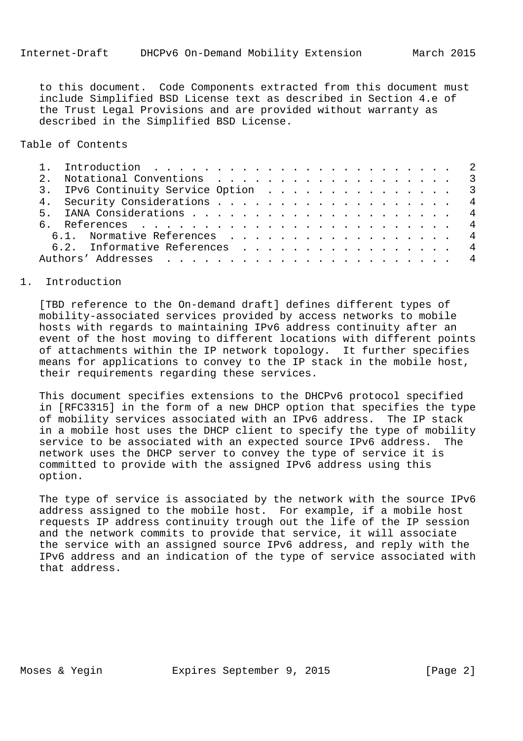to this document. Code Components extracted from this document must include Simplified BSD License text as described in Section 4.e of the Trust Legal Provisions and are provided without warranty as described in the Simplified BSD License.

Table of Contents

|  | 2. Notational Conventions 3         |  |
|--|-------------------------------------|--|
|  | 3. IPv6 Continuity Service Option 3 |  |
|  | 4. Security Considerations 4        |  |
|  |                                     |  |
|  |                                     |  |
|  | 6.1. Normative References 4         |  |
|  | 6.2. Informative References 4       |  |
|  |                                     |  |
|  |                                     |  |

## 1. Introduction

 [TBD reference to the On-demand draft] defines different types of mobility-associated services provided by access networks to mobile hosts with regards to maintaining IPv6 address continuity after an event of the host moving to different locations with different points of attachments within the IP network topology. It further specifies means for applications to convey to the IP stack in the mobile host, their requirements regarding these services.

 This document specifies extensions to the DHCPv6 protocol specified in [RFC3315] in the form of a new DHCP option that specifies the type of mobility services associated with an IPv6 address. The IP stack in a mobile host uses the DHCP client to specify the type of mobility service to be associated with an expected source IPv6 address. The network uses the DHCP server to convey the type of service it is committed to provide with the assigned IPv6 address using this option.

 The type of service is associated by the network with the source IPv6 address assigned to the mobile host. For example, if a mobile host requests IP address continuity trough out the life of the IP session and the network commits to provide that service, it will associate the service with an assigned source IPv6 address, and reply with the IPv6 address and an indication of the type of service associated with that address.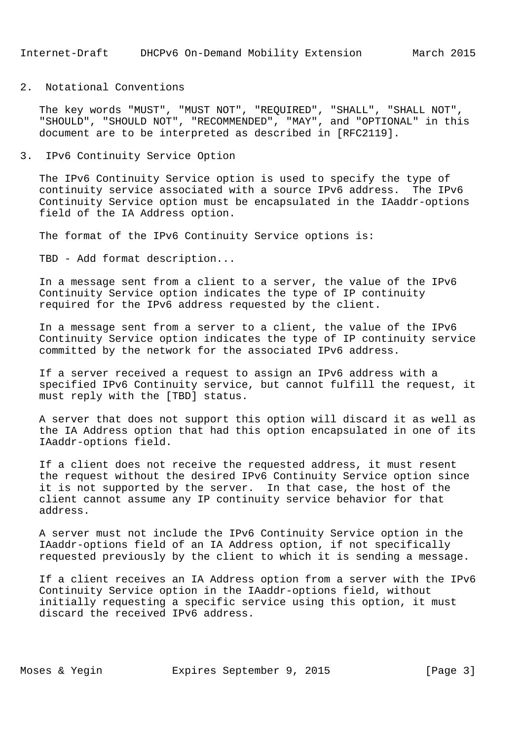## 2. Notational Conventions

 The key words "MUST", "MUST NOT", "REQUIRED", "SHALL", "SHALL NOT", "SHOULD", "SHOULD NOT", "RECOMMENDED", "MAY", and "OPTIONAL" in this document are to be interpreted as described in [RFC2119].

## 3. IPv6 Continuity Service Option

 The IPv6 Continuity Service option is used to specify the type of continuity service associated with a source IPv6 address. The IPv6 Continuity Service option must be encapsulated in the IAaddr-options field of the IA Address option.

The format of the IPv6 Continuity Service options is:

TBD - Add format description...

 In a message sent from a client to a server, the value of the IPv6 Continuity Service option indicates the type of IP continuity required for the IPv6 address requested by the client.

 In a message sent from a server to a client, the value of the IPv6 Continuity Service option indicates the type of IP continuity service committed by the network for the associated IPv6 address.

 If a server received a request to assign an IPv6 address with a specified IPv6 Continuity service, but cannot fulfill the request, it must reply with the [TBD] status.

 A server that does not support this option will discard it as well as the IA Address option that had this option encapsulated in one of its IAaddr-options field.

 If a client does not receive the requested address, it must resent the request without the desired IPv6 Continuity Service option since it is not supported by the server. In that case, the host of the client cannot assume any IP continuity service behavior for that address.

 A server must not include the IPv6 Continuity Service option in the IAaddr-options field of an IA Address option, if not specifically requested previously by the client to which it is sending a message.

 If a client receives an IA Address option from a server with the IPv6 Continuity Service option in the IAaddr-options field, without initially requesting a specific service using this option, it must discard the received IPv6 address.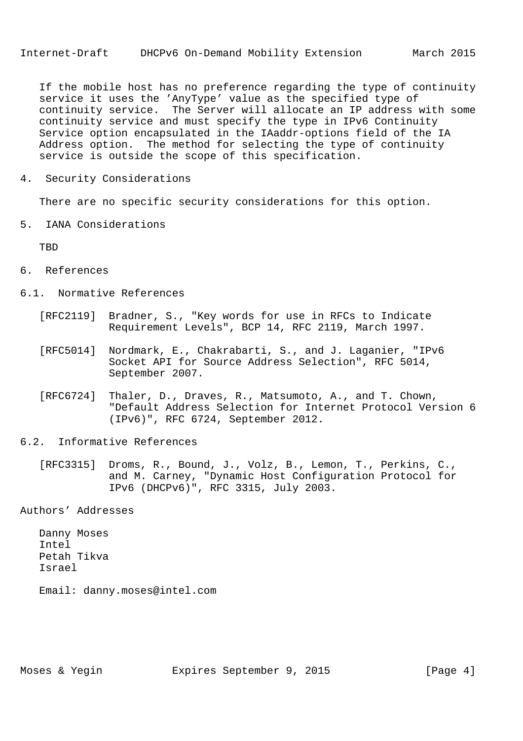If the mobile host has no preference regarding the type of continuity service it uses the 'AnyType' value as the specified type of continuity service. The Server will allocate an IP address with some continuity service and must specify the type in IPv6 Continuity Service option encapsulated in the IAaddr-options field of the IA Address option. The method for selecting the type of continuity service is outside the scope of this specification.

4. Security Considerations

There are no specific security considerations for this option.

5. IANA Considerations

**TBD** 

- 6. References
- 6.1. Normative References
	- [RFC2119] Bradner, S., "Key words for use in RFCs to Indicate Requirement Levels", BCP 14, RFC 2119, March 1997.
	- [RFC5014] Nordmark, E., Chakrabarti, S., and J. Laganier, "IPv6 Socket API for Source Address Selection", RFC 5014, September 2007.
	- [RFC6724] Thaler, D., Draves, R., Matsumoto, A., and T. Chown, "Default Address Selection for Internet Protocol Version 6 (IPv6)", RFC 6724, September 2012.
- 6.2. Informative References
	- [RFC3315] Droms, R., Bound, J., Volz, B., Lemon, T., Perkins, C., and M. Carney, "Dynamic Host Configuration Protocol for IPv6 (DHCPv6)", RFC 3315, July 2003.

Authors' Addresses

 Danny Moses Intel Petah Tikva Israel

Email: danny.moses@intel.com

Moses & Yegin **Expires September 9, 2015** [Page 4]